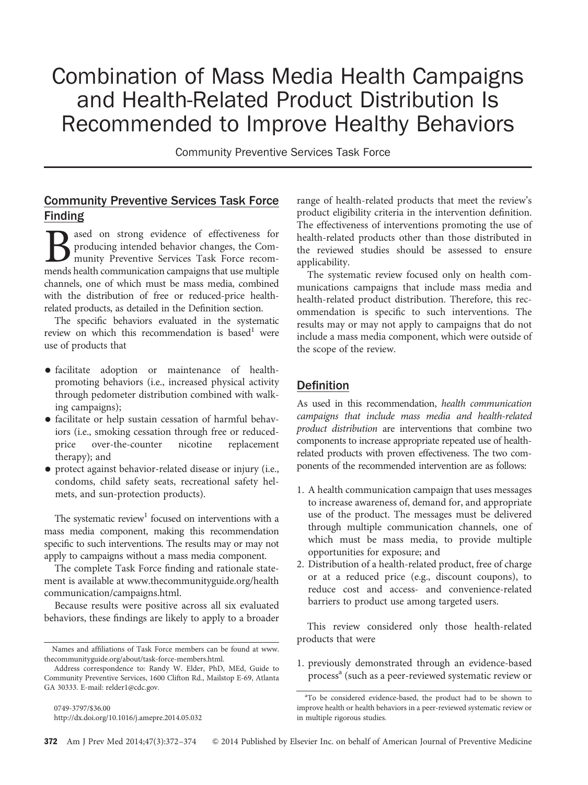# Combination of Mass Media Health Campaigns and Health-Related Product Distribution Is Recommended to Improve Healthy Behaviors

Community Preventive Services Task Force

# Community Preventive Services Task Force Finding

Based on strong evidence of effectiveness for<br>producing intended behavior changes, the Com-<br>munity Preventive Services Task Force recom-<br>mends health communication campaigns that use multiple producing intended behavior changes, the Community Preventive Services Task Force recommends health communication campaigns that use multiple channels, one of which must be mass media, combined with the distribution of free or reduced-price healthrelated products, as detailed in the Definition section.

The specific behaviors evaluated in the systematic review on which this recommendation is based<sup>1</sup> were use of products that

- facilitate adoption or maintenance of healthpromoting behaviors (i.e., increased physical activity through pedometer distribution combined with walking campaigns);
- facilitate or help sustain cessation of harmful behaviors (i.e., smoking cessation through free or reducedprice over-the-counter nicotine replacement therapy); and
- protect against behavior-related disease or injury (i.e., condoms, child safety seats, recreational safety helmets, and sun-protection products).

The systematic review<sup>1</sup> focused on interventions with a mass media component, making this recommendation specific to such interventions. The results may or may not apply to campaigns without a mass media component.

The complete Task Force finding and rationale statement is available at www.thecommunityguide.org/health communication/campaigns.html.

Because results were positive across all six evaluated behaviors, these findings are likely to apply to a broader

0749-3797/\$36.00 http://dx.doi.org/10.1016/j.amepre.2014.05.032 range of health-related products that meet the review's product eligibility criteria in the intervention definition. The effectiveness of interventions promoting the use of health-related products other than those distributed in the reviewed studies should be assessed to ensure applicability.

The systematic review focused only on health communications campaigns that include mass media and health-related product distribution. Therefore, this recommendation is specific to such interventions. The results may or may not apply to campaigns that do not include a mass media component, which were outside of the scope of the review.

## Definition

As used in this recommendation, health communication campaigns that include mass media and health-related product distribution are interventions that combine two components to increase appropriate repeated use of healthrelated products with proven effectiveness. The two components of the recommended intervention are as follows:

- 1. A health communication campaign that uses messages to increase awareness of, demand for, and appropriate use of the product. The messages must be delivered through multiple communication channels, one of which must be mass media, to provide multiple opportunities for exposure; and
- 2. Distribution of a health-related product, free of charge or at a reduced price (e.g., discount coupons), to reduce cost and access- and convenience-related barriers to product use among targeted users.

This review considered only those health-related products that were

1. previously demonstrated through an evidence-based process<sup>a</sup> (such as a peer-reviewed systematic review or

Names and affiliations of Task Force members can be found at www. thecommunityguide.org/about/task-force-members.html.

Address correspondence to: Randy W. Elder, PhD, MEd, Guide to Community Preventive Services, 1600 Clifton Rd., Mailstop E-69, Atlanta GA 30333. E-mail: relder1@cdc.gov.

<sup>&</sup>lt;sup>a</sup>To be considered evidence-based, the product had to be shown to improve health or health behaviors in a peer-reviewed systematic review or in multiple rigorous studies.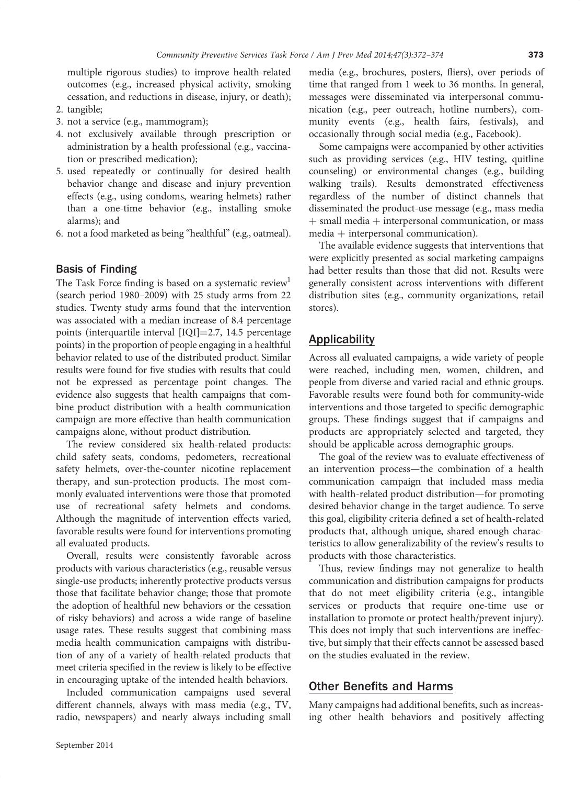multiple rigorous studies) to improve health-related outcomes (e.g., increased physical activity, smoking cessation, and reductions in disease, injury, or death); 2. tangible;

- 3. not a service (e.g., mammogram);
- 4. not exclusively available through prescription or administration by a health professional (e.g., vaccination or prescribed medication);
- 5. used repeatedly or continually for desired health behavior change and disease and injury prevention effects (e.g., using condoms, wearing helmets) rather than a one-time behavior (e.g., installing smoke alarms); and
- 6. not a food marketed as being "healthful" (e.g., oatmeal).

#### Basis of Finding

The Task Force finding is based on a systematic review<sup>1</sup> (search period 1980–2009) with 25 study arms from 22 studies. Twenty study arms found that the intervention was associated with a median increase of 8.4 percentage points (interquartile interval  $[IQI]=2.7$ , 14.5 percentage points) in the proportion of people engaging in a healthful behavior related to use of the distributed product. Similar results were found for five studies with results that could not be expressed as percentage point changes. The evidence also suggests that health campaigns that combine product distribution with a health communication campaign are more effective than health communication campaigns alone, without product distribution.

The review considered six health-related products: child safety seats, condoms, pedometers, recreational safety helmets, over-the-counter nicotine replacement therapy, and sun-protection products. The most commonly evaluated interventions were those that promoted use of recreational safety helmets and condoms. Although the magnitude of intervention effects varied, favorable results were found for interventions promoting all evaluated products.

Overall, results were consistently favorable across products with various characteristics (e.g., reusable versus single-use products; inherently protective products versus those that facilitate behavior change; those that promote the adoption of healthful new behaviors or the cessation of risky behaviors) and across a wide range of baseline usage rates. These results suggest that combining mass media health communication campaigns with distribution of any of a variety of health-related products that meet criteria specified in the review is likely to be effective in encouraging uptake of the intended health behaviors.

Included communication campaigns used several different channels, always with mass media (e.g., TV, radio, newspapers) and nearly always including small media (e.g., brochures, posters, fliers), over periods of time that ranged from 1 week to 36 months. In general, messages were disseminated via interpersonal communication (e.g., peer outreach, hotline numbers), community events (e.g., health fairs, festivals), and occasionally through social media (e.g., Facebook).

Some campaigns were accompanied by other activities such as providing services (e.g., HIV testing, quitline counseling) or environmental changes (e.g., building walking trails). Results demonstrated effectiveness regardless of the number of distinct channels that disseminated the product-use message (e.g., mass media  $+$  small media  $+$  interpersonal communication, or mass  $median +$  interpersonal communication).

The available evidence suggests that interventions that were explicitly presented as social marketing campaigns had better results than those that did not. Results were generally consistent across interventions with different distribution sites (e.g., community organizations, retail stores).

## Applicability

Across all evaluated campaigns, a wide variety of people were reached, including men, women, children, and people from diverse and varied racial and ethnic groups. Favorable results were found both for community-wide interventions and those targeted to specific demographic groups. These findings suggest that if campaigns and products are appropriately selected and targeted, they should be applicable across demographic groups.

The goal of the review was to evaluate effectiveness of an intervention process—the combination of a health communication campaign that included mass media with health-related product distribution—for promoting desired behavior change in the target audience. To serve this goal, eligibility criteria defined a set of health-related products that, although unique, shared enough characteristics to allow generalizability of the review's results to products with those characteristics.

Thus, review findings may not generalize to health communication and distribution campaigns for products that do not meet eligibility criteria (e.g., intangible services or products that require one-time use or installation to promote or protect health/prevent injury). This does not imply that such interventions are ineffective, but simply that their effects cannot be assessed based on the studies evaluated in the review.

## Other Benefits and Harms

Many campaigns had additional benefits, such as increasing other health behaviors and positively affecting